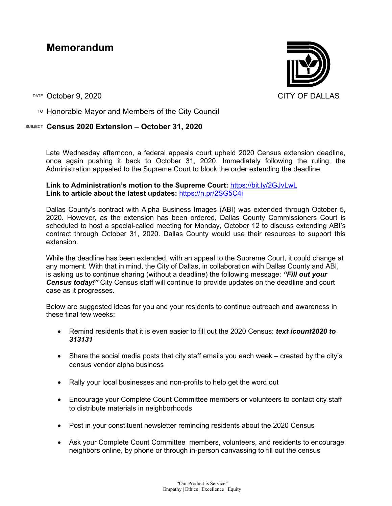# **Memorandum**

DATE October 9, 2020 CITY OF DALLAS

 $T$ <sup>O</sup> Honorable Mayor and Members of the City Council

## SUBJECT **Census 2020 Extension – October 31, 2020**

Late Wednesday afternoon, a federal appeals court upheld 2020 Census extension deadline, once again pushing it back to October 31, 2020. Immediately following the ruling, the Administration appealed to the Supreme Court to block the order extending the deadline.

### **Link to Administration's motion to the Supreme Court:** <https://bit.ly/2GJvLwL> **Link to article about the latest updates:** <https://n.pr/2SG5C4i>

Dallas County's contract with Alpha Business Images (ABI) was extended through October 5, 2020. However, as the extension has been ordered, Dallas County Commissioners Court is scheduled to host a special-called meeting for Monday, October 12 to discuss extending ABI's contract through October 31, 2020. Dallas County would use their resources to support this extension.

While the deadline has been extended, with an appeal to the Supreme Court, it could change at any moment. With that in mind, the City of Dallas, in collaboration with Dallas County and ABI, is asking us to continue sharing (without a deadline) the following message: *"Fill out your*  **Census today!**" City Census staff will continue to provide updates on the deadline and court case as it progresses.

Below are suggested ideas for you and your residents to continue outreach and awareness in these final few weeks:

- Remind residents that it is even easier to fill out the 2020 Census: *text icount2020 to 313131*
- Share the social media posts that city staff emails you each week created by the city's census vendor alpha business
- Rally your local businesses and non-profits to help get the word out
- Encourage your Complete Count Committee members or volunteers to contact city staff to distribute materials in neighborhoods
- Post in your constituent newsletter reminding residents about the 2020 Census
- Ask your Complete Count Committee members, volunteers, and residents to encourage neighbors online, by phone or through in-person canvassing to fill out the census